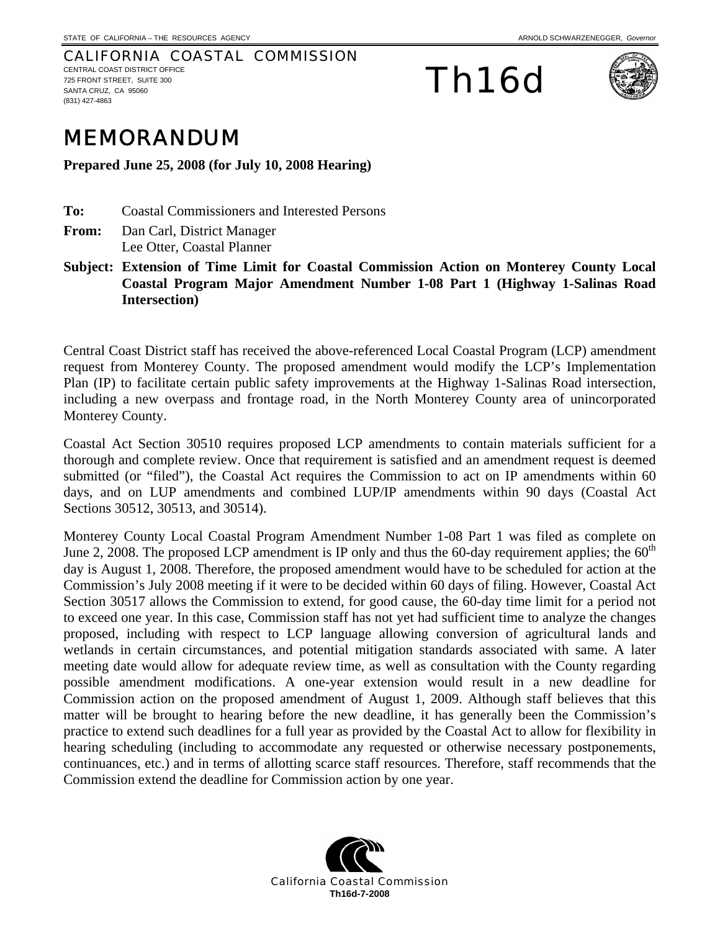CALIFORNIA COASTAL COMMISSION CENTRAL COAST DISTRICT OFFICE 725 FRONT STREET, SUITE 300 SANTA CRUZ, CA 95060 (831) 427-4863

Th16d



## MEMORANDUM

**Prepared June 25, 2008 (for July 10, 2008 Hearing)** 

**To:** Coastal Commissioners and Interested Persons

- **From:** Dan Carl, District Manager Lee Otter, Coastal Planner
- **Subject: Extension of Time Limit for Coastal Commission Action on Monterey County Local Coastal Program Major Amendment Number 1-08 Part 1 (Highway 1-Salinas Road Intersection)**

Central Coast District staff has received the above-referenced Local Coastal Program (LCP) amendment request from Monterey County. The proposed amendment would modify the LCP's Implementation Plan (IP) to facilitate certain public safety improvements at the Highway 1-Salinas Road intersection, including a new overpass and frontage road, in the North Monterey County area of unincorporated Monterey County.

Coastal Act Section 30510 requires proposed LCP amendments to contain materials sufficient for a thorough and complete review. Once that requirement is satisfied and an amendment request is deemed submitted (or "filed"), the Coastal Act requires the Commission to act on IP amendments within 60 days, and on LUP amendments and combined LUP/IP amendments within 90 days (Coastal Act Sections 30512, 30513, and 30514).

Monterey County Local Coastal Program Amendment Number 1-08 Part 1 was filed as complete on June 2, 2008. The proposed LCP amendment is IP only and thus the 60-day requirement applies; the  $60<sup>th</sup>$ day is August 1, 2008. Therefore, the proposed amendment would have to be scheduled for action at the Commission's July 2008 meeting if it were to be decided within 60 days of filing. However, Coastal Act Section 30517 allows the Commission to extend, for good cause, the 60-day time limit for a period not to exceed one year. In this case, Commission staff has not yet had sufficient time to analyze the changes proposed, including with respect to LCP language allowing conversion of agricultural lands and wetlands in certain circumstances, and potential mitigation standards associated with same. A later meeting date would allow for adequate review time, as well as consultation with the County regarding possible amendment modifications. A one-year extension would result in a new deadline for Commission action on the proposed amendment of August 1, 2009. Although staff believes that this matter will be brought to hearing before the new deadline, it has generally been the Commission's practice to extend such deadlines for a full year as provided by the Coastal Act to allow for flexibility in hearing scheduling (including to accommodate any requested or otherwise necessary postponements, continuances, etc.) and in terms of allotting scarce staff resources. Therefore, staff recommends that the Commission extend the deadline for Commission action by one year.